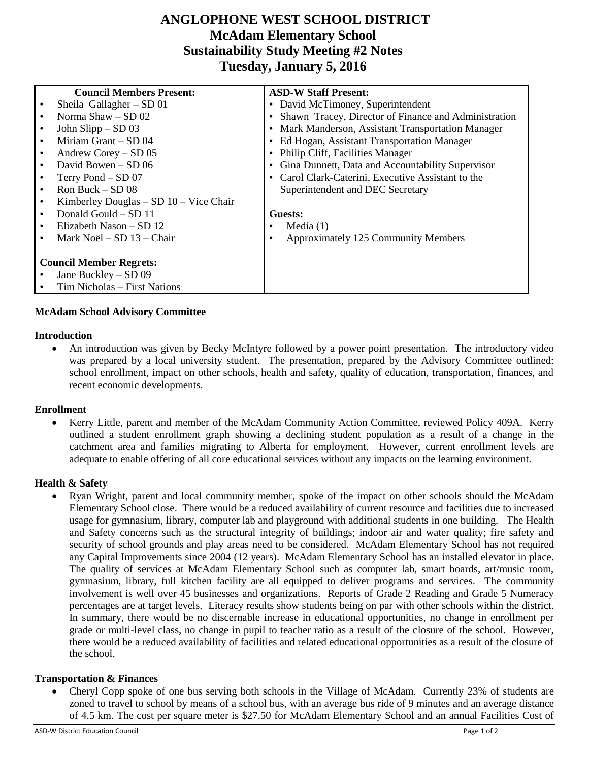# **ANGLOPHONE WEST SCHOOL DISTRICT McAdam Elementary School Sustainability Study Meeting #2 Notes Tuesday, January 5, 2016**

|                                | <b>Council Members Present:</b>            | <b>ASD-W Staff Present:</b>                            |
|--------------------------------|--------------------------------------------|--------------------------------------------------------|
|                                | Sheila Gallagher $-$ SD 01                 | David McTimoney, Superintendent                        |
|                                | Norma $Shaw - SD$ 02                       | • Shawn Tracey, Director of Finance and Administration |
|                                | John Slipp $-$ SD 03                       | • Mark Manderson, Assistant Transportation Manager     |
|                                | Miriam Grant - SD 04                       | Ed Hogan, Assistant Transportation Manager             |
|                                | Andrew Corey $-$ SD 05                     | Philip Cliff, Facilities Manager                       |
|                                | David Bowen $-$ SD 06                      | Gina Dunnett, Data and Accountability Supervisor       |
|                                | Terry Pond – SD 07                         | Carol Clark-Caterini, Executive Assistant to the       |
|                                | Ron Buck $-$ SD 08                         | Superintendent and DEC Secretary                       |
|                                | Kimberley Douglas $-$ SD 10 $-$ Vice Chair |                                                        |
|                                | Donald Gould - SD 11                       | Guests:                                                |
|                                | Elizabeth Nason – SD 12                    | Media $(1)$                                            |
|                                | Mark Noël – SD 13 – Chair                  | Approximately 125 Community Members                    |
|                                |                                            |                                                        |
| <b>Council Member Regrets:</b> |                                            |                                                        |
|                                | Jane Buckley – SD 09                       |                                                        |
|                                | Tim Nicholas – First Nations               |                                                        |

# **McAdam School Advisory Committee**

## **Introduction**

 An introduction was given by Becky McIntyre followed by a power point presentation. The introductory video was prepared by a local university student. The presentation, prepared by the Advisory Committee outlined: school enrollment, impact on other schools, health and safety, quality of education, transportation, finances, and recent economic developments.

## **Enrollment**

 Kerry Little, parent and member of the McAdam Community Action Committee, reviewed Policy 409A. Kerry outlined a student enrollment graph showing a declining student population as a result of a change in the catchment area and families migrating to Alberta for employment. However, current enrollment levels are adequate to enable offering of all core educational services without any impacts on the learning environment.

## **Health & Safety**

 Ryan Wright, parent and local community member, spoke of the impact on other schools should the McAdam Elementary School close. There would be a reduced availability of current resource and facilities due to increased usage for gymnasium, library, computer lab and playground with additional students in one building. The Health and Safety concerns such as the structural integrity of buildings; indoor air and water quality; fire safety and security of school grounds and play areas need to be considered. McAdam Elementary School has not required any Capital Improvements since 2004 (12 years). McAdam Elementary School has an installed elevator in place. The quality of services at McAdam Elementary School such as computer lab, smart boards, art/music room, gymnasium, library, full kitchen facility are all equipped to deliver programs and services. The community involvement is well over 45 businesses and organizations. Reports of Grade 2 Reading and Grade 5 Numeracy percentages are at target levels. Literacy results show students being on par with other schools within the district. In summary, there would be no discernable increase in educational opportunities, no change in enrollment per grade or multi-level class, no change in pupil to teacher ratio as a result of the closure of the school. However, there would be a reduced availability of facilities and related educational opportunities as a result of the closure of the school.

#### **Transportation & Finances**

 Cheryl Copp spoke of one bus serving both schools in the Village of McAdam. Currently 23% of students are zoned to travel to school by means of a school bus, with an average bus ride of 9 minutes and an average distance of 4.5 km. The cost per square meter is \$27.50 for McAdam Elementary School and an annual Facilities Cost of